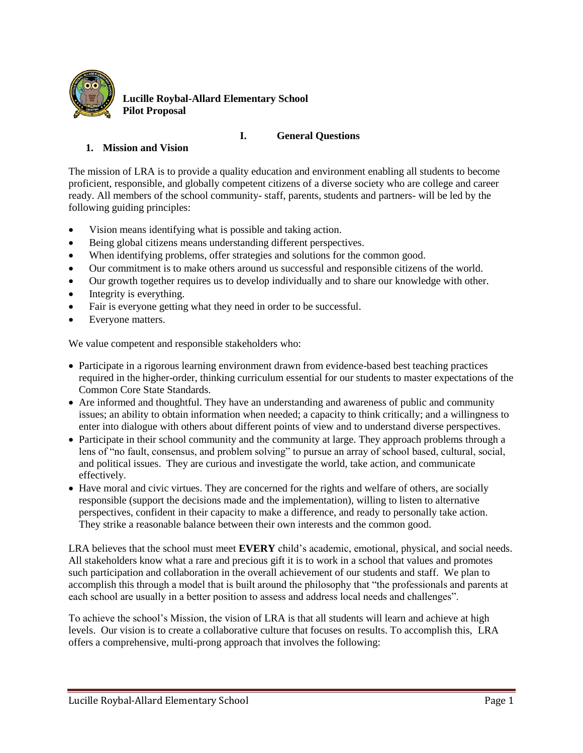

**Lucille Roybal-Allard Elementary School Pilot Proposal**

### **I. General Questions**

# **1. Mission and Vision**

The mission of LRA is to provide a quality education and environment enabling all students to become proficient, responsible, and globally competent citizens of a diverse society who are college and career ready. All members of the school community- staff, parents, students and partners- will be led by the following guiding principles:

- Vision means identifying what is possible and taking action.
- Being global citizens means understanding different perspectives.
- When identifying problems, offer strategies and solutions for the common good.
- Our commitment is to make others around us successful and responsible citizens of the world.
- Our growth together requires us to develop individually and to share our knowledge with other.
- Integrity is everything.
- Fair is everyone getting what they need in order to be successful.
- Everyone matters.

We value competent and responsible stakeholders who:

- Participate in a rigorous learning environment drawn from evidence-based best teaching practices required in the higher-order, thinking curriculum essential for our students to master expectations of the Common Core State Standards.
- Are informed and thoughtful. They have an understanding and awareness of public and community issues; an ability to obtain information when needed; a capacity to think critically; and a willingness to enter into dialogue with others about different points of view and to understand diverse perspectives.
- Participate in their school community and the community at large. They approach problems through a lens of "no fault, consensus, and problem solving" to pursue an array of school based, cultural, social, and political issues. They are curious and investigate the world, take action, and communicate effectively.
- Have moral and civic virtues. They are concerned for the rights and welfare of others, are socially responsible (support the decisions made and the implementation), willing to listen to alternative perspectives, confident in their capacity to make a difference, and ready to personally take action. They strike a reasonable balance between their own interests and the common good.

LRA believes that the school must meet **EVERY** child's academic, emotional, physical, and social needs. All stakeholders know what a rare and precious gift it is to work in a school that values and promotes such participation and collaboration in the overall achievement of our students and staff. We plan to accomplish this through a model that is built around the philosophy that "the professionals and parents at each school are usually in a better position to assess and address local needs and challenges".

To achieve the school's Mission, the vision of LRA is that all students will learn and achieve at high levels. Our vision is to create a collaborative culture that focuses on results. To accomplish this, LRA offers a comprehensive, multi-prong approach that involves the following: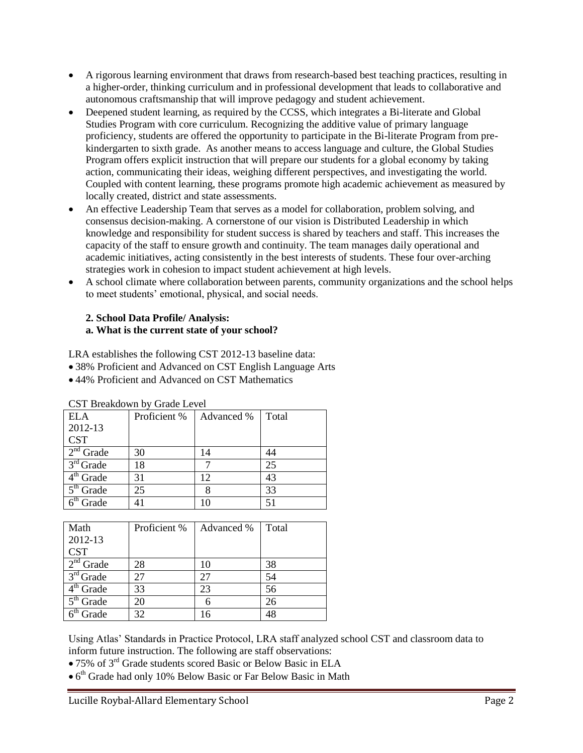- A rigorous learning environment that draws from research-based best teaching practices, resulting in a higher-order, thinking curriculum and in professional development that leads to collaborative and autonomous craftsmanship that will improve pedagogy and student achievement.
- Deepened student learning, as required by the CCSS, which integrates a Bi-literate and Global Studies Program with core curriculum. Recognizing the additive value of primary language proficiency, students are offered the opportunity to participate in the Bi-literate Program from prekindergarten to sixth grade. As another means to access language and culture, the Global Studies Program offers explicit instruction that will prepare our students for a global economy by taking action, communicating their ideas, weighing different perspectives, and investigating the world. Coupled with content learning, these programs promote high academic achievement as measured by locally created, district and state assessments.
- An effective Leadership Team that serves as a model for collaboration, problem solving, and consensus decision-making. A cornerstone of our vision is Distributed Leadership in which knowledge and responsibility for student success is shared by teachers and staff. This increases the capacity of the staff to ensure growth and continuity. The team manages daily operational and academic initiatives, acting consistently in the best interests of students. These four over-arching strategies work in cohesion to impact student achievement at high levels.
- A school climate where collaboration between parents, community organizations and the school helps to meet students' emotional, physical, and social needs.

# **2. School Data Profile/ Analysis: a. What is the current state of your school?**

LRA establishes the following CST 2012-13 baseline data:

- 38% Proficient and Advanced on CST English Language Arts
- 44% Proficient and Advanced on CST Mathematics

| <b>ELA</b>            | Proficient % | Advanced % | Total |
|-----------------------|--------------|------------|-------|
| 2012-13               |              |            |       |
| <b>CST</b>            |              |            |       |
| $2nd$ Grade           | 30           | 14         |       |
| $3rd$ Grade           | 18           |            | 25    |
| 4 <sup>th</sup> Grade | 31           | 12.        | 43    |
| $5th$ Grade           | 25           |            | 33    |
| Grade                 | 41           | 10         | 51    |

CST Breakdown by Grade Level

| Math        | Proficient % | Advanced % | Total |
|-------------|--------------|------------|-------|
| 2012-13     |              |            |       |
| <b>CST</b>  |              |            |       |
| $2nd$ Grade | 28           | 10         | 38    |
| $3rd$ Grade | 27           | 27         | 54    |
| $4th$ Grade | 33           | 23         | 56    |
| $5th$ Grade | 20           |            | 26    |
| Grade       | 32           | 16         | 48    |

Using Atlas' Standards in Practice Protocol, LRA staff analyzed school CST and classroom data to inform future instruction. The following are staff observations:

- 75% of 3rd Grade students scored Basic or Below Basic in ELA
- 6 th Grade had only 10% Below Basic or Far Below Basic in Math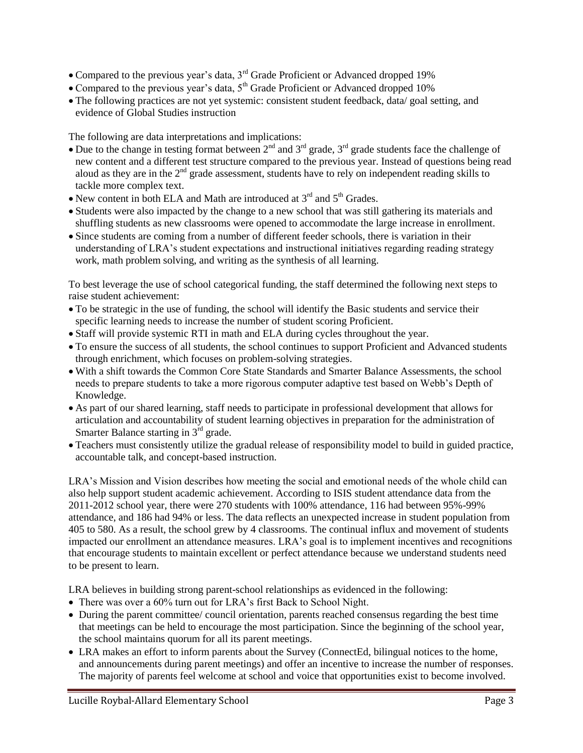- Compared to the previous year's data, 3<sup>rd</sup> Grade Proficient or Advanced dropped 19%
- Compared to the previous year's data,  $5<sup>th</sup>$  Grade Proficient or Advanced dropped 10%
- The following practices are not yet systemic: consistent student feedback, data/ goal setting, and evidence of Global Studies instruction

The following are data interpretations and implications:

- Due to the change in testing format between  $2^{nd}$  and  $3^{rd}$  grade,  $3^{rd}$  grade students face the challenge of new content and a different test structure compared to the previous year. Instead of questions being read aloud as they are in the  $2<sup>nd</sup>$  grade assessment, students have to rely on independent reading skills to tackle more complex text.
- New content in both ELA and Math are introduced at  $3<sup>rd</sup>$  and  $5<sup>th</sup>$  Grades.
- Students were also impacted by the change to a new school that was still gathering its materials and shuffling students as new classrooms were opened to accommodate the large increase in enrollment.
- Since students are coming from a number of different feeder schools, there is variation in their understanding of LRA's student expectations and instructional initiatives regarding reading strategy work, math problem solving, and writing as the synthesis of all learning.

To best leverage the use of school categorical funding, the staff determined the following next steps to raise student achievement:

- To be strategic in the use of funding, the school will identify the Basic students and service their specific learning needs to increase the number of student scoring Proficient.
- Staff will provide systemic RTI in math and ELA during cycles throughout the year.
- To ensure the success of all students, the school continues to support Proficient and Advanced students through enrichment, which focuses on problem-solving strategies.
- With a shift towards the Common Core State Standards and Smarter Balance Assessments, the school needs to prepare students to take a more rigorous computer adaptive test based on Webb's Depth of Knowledge.
- As part of our shared learning, staff needs to participate in professional development that allows for articulation and accountability of student learning objectives in preparation for the administration of Smarter Balance starting in  $3<sup>rd</sup>$  grade.
- Teachers must consistently utilize the gradual release of responsibility model to build in guided practice, accountable talk, and concept-based instruction.

LRA's Mission and Vision describes how meeting the social and emotional needs of the whole child can also help support student academic achievement. According to ISIS student attendance data from the 2011-2012 school year, there were 270 students with 100% attendance, 116 had between 95%-99% attendance, and 186 had 94% or less. The data reflects an unexpected increase in student population from 405 to 580. As a result, the school grew by 4 classrooms. The continual influx and movement of students impacted our enrollment an attendance measures. LRA's goal is to implement incentives and recognitions that encourage students to maintain excellent or perfect attendance because we understand students need to be present to learn.

LRA believes in building strong parent-school relationships as evidenced in the following:

- There was over a 60% turn out for LRA's first Back to School Night.
- During the parent committee/ council orientation, parents reached consensus regarding the best time that meetings can be held to encourage the most participation. Since the beginning of the school year, the school maintains quorum for all its parent meetings.
- LRA makes an effort to inform parents about the Survey (ConnectEd, bilingual notices to the home, and announcements during parent meetings) and offer an incentive to increase the number of responses. The majority of parents feel welcome at school and voice that opportunities exist to become involved.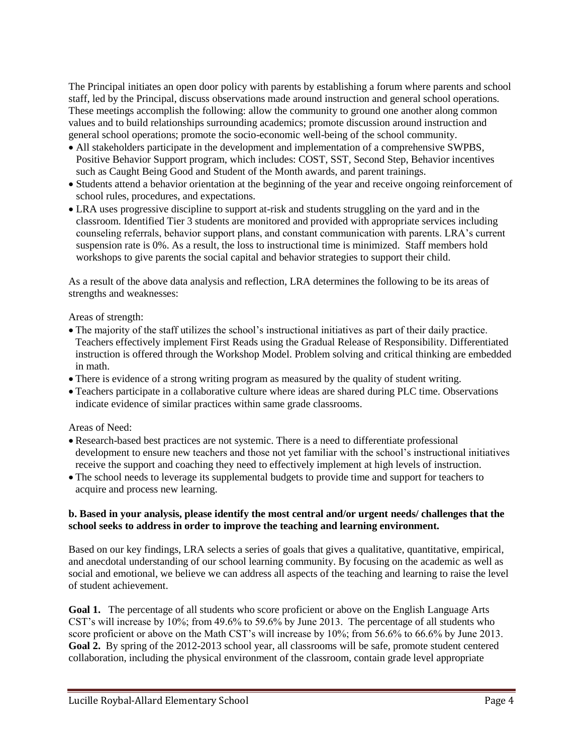The Principal initiates an open door policy with parents by establishing a forum where parents and school staff, led by the Principal, discuss observations made around instruction and general school operations. These meetings accomplish the following: allow the community to ground one another along common values and to build relationships surrounding academics; promote discussion around instruction and general school operations; promote the socio-economic well-being of the school community.

- All stakeholders participate in the development and implementation of a comprehensive SWPBS, Positive Behavior Support program, which includes: COST, SST, Second Step, Behavior incentives such as Caught Being Good and Student of the Month awards, and parent trainings.
- Students attend a behavior orientation at the beginning of the year and receive ongoing reinforcement of school rules, procedures, and expectations.
- LRA uses progressive discipline to support at-risk and students struggling on the yard and in the classroom. Identified Tier 3 students are monitored and provided with appropriate services including counseling referrals, behavior support plans, and constant communication with parents. LRA's current suspension rate is 0%. As a result, the loss to instructional time is minimized. Staff members hold workshops to give parents the social capital and behavior strategies to support their child.

As a result of the above data analysis and reflection, LRA determines the following to be its areas of strengths and weaknesses:

#### Areas of strength:

- The majority of the staff utilizes the school's instructional initiatives as part of their daily practice. Teachers effectively implement First Reads using the Gradual Release of Responsibility. Differentiated instruction is offered through the Workshop Model. Problem solving and critical thinking are embedded in math.
- There is evidence of a strong writing program as measured by the quality of student writing.
- Teachers participate in a collaborative culture where ideas are shared during PLC time. Observations indicate evidence of similar practices within same grade classrooms.

#### Areas of Need:

- Research-based best practices are not systemic. There is a need to differentiate professional development to ensure new teachers and those not yet familiar with the school's instructional initiatives receive the support and coaching they need to effectively implement at high levels of instruction.
- The school needs to leverage its supplemental budgets to provide time and support for teachers to acquire and process new learning.

#### **b. Based in your analysis, please identify the most central and/or urgent needs/ challenges that the school seeks to address in order to improve the teaching and learning environment.**

Based on our key findings, LRA selects a series of goals that gives a qualitative, quantitative, empirical, and anecdotal understanding of our school learning community. By focusing on the academic as well as social and emotional, we believe we can address all aspects of the teaching and learning to raise the level of student achievement.

**Goal 1.** The percentage of all students who score proficient or above on the English Language Arts CST's will increase by 10%; from 49.6% to 59.6% by June 2013.The percentage of all students who score proficient or above on the Math CST's will increase by 10%; from 56.6% to 66.6% by June 2013. **Goal 2.** By spring of the 2012-2013 school year, all classrooms will be safe, promote student centered collaboration, including the physical environment of the classroom, contain grade level appropriate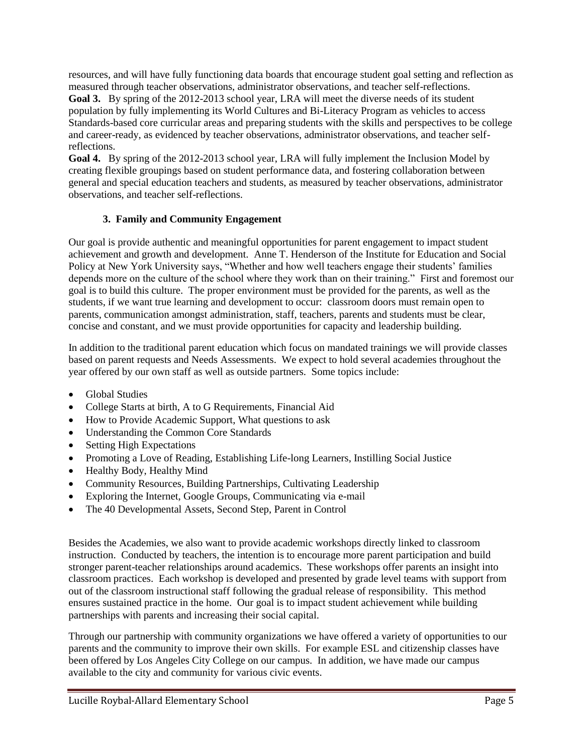resources, and will have fully functioning data boards that encourage student goal setting and reflection as measured through teacher observations, administrator observations, and teacher self-reflections.

**Goal 3.** By spring of the 2012-2013 school year, LRA will meet the diverse needs of its student population by fully implementing its World Cultures and Bi-Literacy Program as vehicles to access Standards-based core curricular areas and preparing students with the skills and perspectives to be college and career-ready, as evidenced by teacher observations, administrator observations, and teacher selfreflections.

**Goal 4.** By spring of the 2012-2013 school year, LRA will fully implement the Inclusion Model by creating flexible groupings based on student performance data, and fostering collaboration between general and special education teachers and students, as measured by teacher observations, administrator observations, and teacher self-reflections.

# **3. Family and Community Engagement**

Our goal is provide authentic and meaningful opportunities for parent engagement to impact student achievement and growth and development. Anne T. Henderson of the Institute for Education and Social Policy at New York University says, "Whether and how well teachers engage their students' families depends more on the culture of the school where they work than on their training." First and foremost our goal is to build this culture. The proper environment must be provided for the parents, as well as the students, if we want true learning and development to occur: classroom doors must remain open to parents, communication amongst administration, staff, teachers, parents and students must be clear, concise and constant, and we must provide opportunities for capacity and leadership building.

In addition to the traditional parent education which focus on mandated trainings we will provide classes based on parent requests and Needs Assessments. We expect to hold several academies throughout the year offered by our own staff as well as outside partners. Some topics include:

- Global Studies
- College Starts at birth, A to G Requirements, Financial Aid
- How to Provide Academic Support, What questions to ask
- Understanding the Common Core Standards
- Setting High Expectations
- Promoting a Love of Reading, Establishing Life-long Learners, Instilling Social Justice
- Healthy Body, Healthy Mind
- Community Resources, Building Partnerships, Cultivating Leadership
- Exploring the Internet, Google Groups, Communicating via e-mail
- The 40 Developmental Assets, Second Step, Parent in Control

Besides the Academies, we also want to provide academic workshops directly linked to classroom instruction. Conducted by teachers, the intention is to encourage more parent participation and build stronger parent-teacher relationships around academics. These workshops offer parents an insight into classroom practices. Each workshop is developed and presented by grade level teams with support from out of the classroom instructional staff following the gradual release of responsibility. This method ensures sustained practice in the home. Our goal is to impact student achievement while building partnerships with parents and increasing their social capital.

Through our partnership with community organizations we have offered a variety of opportunities to our parents and the community to improve their own skills. For example ESL and citizenship classes have been offered by Los Angeles City College on our campus. In addition, we have made our campus available to the city and community for various civic events.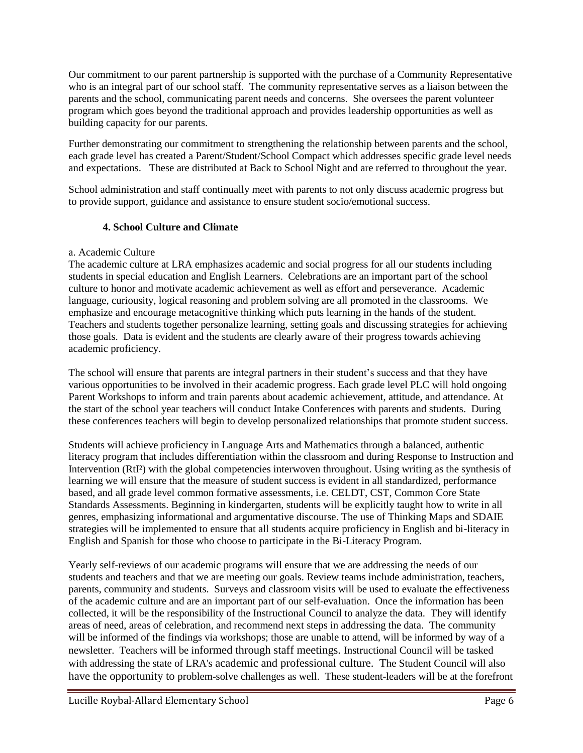Our commitment to our parent partnership is supported with the purchase of a Community Representative who is an integral part of our school staff. The community representative serves as a liaison between the parents and the school, communicating parent needs and concerns. She oversees the parent volunteer program which goes beyond the traditional approach and provides leadership opportunities as well as building capacity for our parents.

Further demonstrating our commitment to strengthening the relationship between parents and the school, each grade level has created a Parent/Student/School Compact which addresses specific grade level needs and expectations. These are distributed at Back to School Night and are referred to throughout the year.

School administration and staff continually meet with parents to not only discuss academic progress but to provide support, guidance and assistance to ensure student socio/emotional success.

# **4. School Culture and Climate**

# a. Academic Culture

The academic culture at LRA emphasizes academic and social progress for all our students including students in special education and English Learners. Celebrations are an important part of the school culture to honor and motivate academic achievement as well as effort and perseverance. Academic language, curiousity, logical reasoning and problem solving are all promoted in the classrooms. We emphasize and encourage metacognitive thinking which puts learning in the hands of the student. Teachers and students together personalize learning, setting goals and discussing strategies for achieving those goals. Data is evident and the students are clearly aware of their progress towards achieving academic proficiency.

The school will ensure that parents are integral partners in their student's success and that they have various opportunities to be involved in their academic progress. Each grade level PLC will hold ongoing Parent Workshops to inform and train parents about academic achievement, attitude, and attendance. At the start of the school year teachers will conduct Intake Conferences with parents and students. During these conferences teachers will begin to develop personalized relationships that promote student success.

Students will achieve proficiency in Language Arts and Mathematics through a balanced, authentic literacy program that includes differentiation within the classroom and during Response to Instruction and Intervention (RtI<sup>2</sup>) with the global competencies interwoven throughout. Using writing as the synthesis of learning we will ensure that the measure of student success is evident in all standardized, performance based, and all grade level common formative assessments, i.e. CELDT, CST, Common Core State Standards Assessments. Beginning in kindergarten, students will be explicitly taught how to write in all genres, emphasizing informational and argumentative discourse. The use of Thinking Maps and SDAIE strategies will be implemented to ensure that all students acquire proficiency in English and bi-literacy in English and Spanish for those who choose to participate in the Bi-Literacy Program.

Yearly self-reviews of our academic programs will ensure that we are addressing the needs of our students and teachers and that we are meeting our goals. Review teams include administration, teachers, parents, community and students. Surveys and classroom visits will be used to evaluate the effectiveness of the academic culture and are an important part of our self-evaluation. Once the information has been collected, it will be the responsibility of the Instructional Council to analyze the data. They will identify areas of need, areas of celebration, and recommend next steps in addressing the data. The community will be informed of the findings via workshops; those are unable to attend, will be informed by way of a newsletter. Teachers will be informed through staff meetings. Instructional Council will be tasked with addressing the state of LRA's academic and professional culture. The Student Council will also have the opportunity to problem-solve challenges as well. These student-leaders will be at the forefront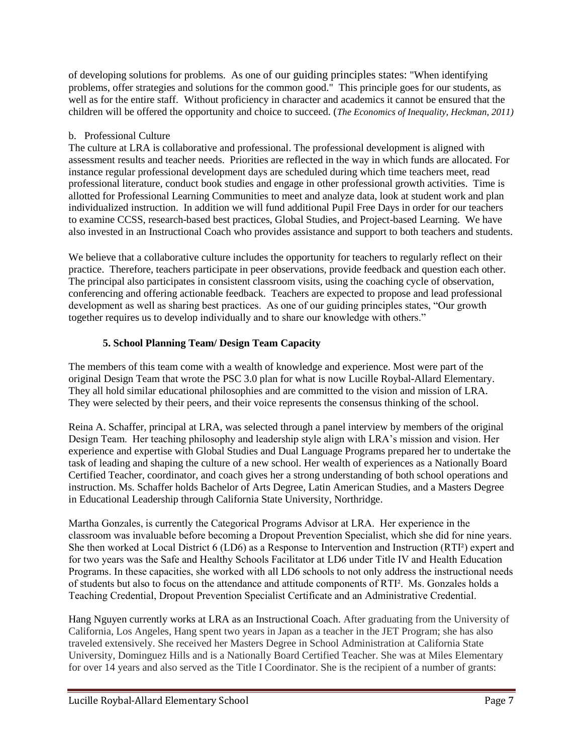of developing solutions for problems. As one of our guiding principles states: "When identifying problems, offer strategies and solutions for the common good." This principle goes for our students, as well as for the entire staff. Without proficiency in character and academics it cannot be ensured that the children will be offered the opportunity and choice to succeed. (*The Economics of Inequality, Heckman, 2011)*

# b. Professional Culture

The culture at LRA is collaborative and professional. The professional development is aligned with assessment results and teacher needs. Priorities are reflected in the way in which funds are allocated. For instance regular professional development days are scheduled during which time teachers meet, read professional literature, conduct book studies and engage in other professional growth activities. Time is allotted for Professional Learning Communities to meet and analyze data, look at student work and plan individualized instruction. In addition we will fund additional Pupil Free Days in order for our teachers to examine CCSS, research-based best practices, Global Studies, and Project-based Learning. We have also invested in an Instructional Coach who provides assistance and support to both teachers and students.

We believe that a collaborative culture includes the opportunity for teachers to regularly reflect on their practice. Therefore, teachers participate in peer observations, provide feedback and question each other. The principal also participates in consistent classroom visits, using the coaching cycle of observation, conferencing and offering actionable feedback. Teachers are expected to propose and lead professional development as well as sharing best practices. As one of our guiding principles states, "Our growth together requires us to develop individually and to share our knowledge with others."

# **5. School Planning Team/ Design Team Capacity**

The members of this team come with a wealth of knowledge and experience. Most were part of the original Design Team that wrote the PSC 3.0 plan for what is now Lucille Roybal-Allard Elementary. They all hold similar educational philosophies and are committed to the vision and mission of LRA. They were selected by their peers, and their voice represents the consensus thinking of the school.

Reina A. Schaffer, principal at LRA, was selected through a panel interview by members of the original Design Team. Her teaching philosophy and leadership style align with LRA's mission and vision. Her experience and expertise with Global Studies and Dual Language Programs prepared her to undertake the task of leading and shaping the culture of a new school. Her wealth of experiences as a Nationally Board Certified Teacher, coordinator, and coach gives her a strong understanding of both school operations and instruction. Ms. Schaffer holds Bachelor of Arts Degree, Latin American Studies, and a Masters Degree in Educational Leadership through California State University, Northridge.

Martha Gonzales, is currently the Categorical Programs Advisor at LRA. Her experience in the classroom was invaluable before becoming a Dropout Prevention Specialist, which she did for nine years. She then worked at Local District 6 (LD6) as a Response to Intervention and Instruction (RTI²) expert and for two years was the Safe and Healthy Schools Facilitator at LD6 under Title IV and Health Education Programs. In these capacities, she worked with all LD6 schools to not only address the instructional needs of students but also to focus on the attendance and attitude components of RTI². Ms. Gonzales holds a Teaching Credential, Dropout Prevention Specialist Certificate and an Administrative Credential.

Hang Nguyen currently works at LRA as an Instructional Coach. After graduating from the University of California, Los Angeles, Hang spent two years in Japan as a teacher in the JET Program; she has also traveled extensively. She received her Masters Degree in School Administration at California State University, Dominguez Hills and is a Nationally Board Certified Teacher. She was at Miles Elementary for over 14 years and also served as the Title I Coordinator. She is the recipient of a number of grants: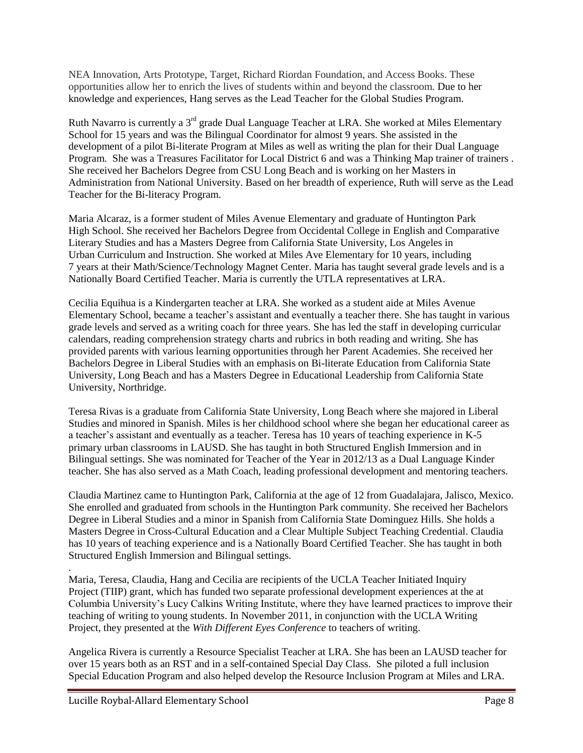NEA Innovation, Arts Prototype, Target, Richard Riordan Foundation, and Access Books. These opportunities allow her to enrich the lives of students within and beyond the classroom. Due to her knowledge and experiences, Hang serves as the Lead Teacher for the Global Studies Program.

Ruth Navarro is currently a 3<sup>rd</sup> grade Dual Language Teacher at LRA. She worked at Miles Elementary School for 15 years and was the Bilingual Coordinator for almost 9 years. She assisted in the development of a pilot Bi-literate Program at Miles as well as writing the plan for their Dual Language Program. She was a Treasures Facilitator for Local District 6 and was a Thinking Map trainer of trainers . She received her Bachelors Degree from CSU Long Beach and is working on her Masters in Administration from National University. Based on her breadth of experience, Ruth will serve as the Lead Teacher for the Bi-literacy Program.

Maria Alcaraz, is a former student of Miles Avenue Elementary and graduate of Huntington Park High School. She received her Bachelors Degree from Occidental College in English and Comparative Literary Studies and has a Masters Degree from California State University, Los Angeles in Urban Curriculum and Instruction. She worked at Miles Ave Elementary for 10 years, including 7 years at their Math/Science/Technology Magnet Center. Maria has taught several grade levels and is a Nationally Board Certified Teacher. Maria is currently the UTLA representatives at LRA.

Cecilia Equihua is a Kindergarten teacher at LRA. She worked as a student aide at Miles Avenue Elementary School, became a teacher's assistant and eventually a teacher there. She has taught in various grade levels and served as a writing coach for three years. She has led the staff in developing curricular calendars, reading comprehension strategy charts and rubrics in both reading and writing. She has provided parents with various learning opportunities through her Parent Academies. She received her Bachelors Degree in Liberal Studies with an emphasis on Bi-literate Education from California State University, Long Beach and has a Masters Degree in Educational Leadership from California State University, Northridge.

Teresa Rivas is a graduate from California State University, Long Beach where she majored in Liberal Studies and minored in Spanish. Miles is her childhood school where she began her educational career as a teacher's assistant and eventually as a teacher. Teresa has 10 years of teaching experience in K-5 primary urban classrooms in LAUSD. She has taught in both Structured English Immersion and in Bilingual settings. She was nominated for Teacher of the Year in 2012/13 as a Dual Language Kinder teacher. She has also served as a Math Coach, leading professional development and mentoring teachers.

Claudia Martinez came to Huntington Park, California at the age of 12 from Guadalajara, Jalisco, Mexico. She enrolled and graduated from schools in the Huntington Park community. She received her Bachelors Degree in Liberal Studies and a minor in Spanish from California State Dominguez Hills. She holds a Masters Degree in Cross-Cultural Education and a Clear Multiple Subject Teaching Credential. Claudia has 10 years of teaching experience and is a Nationally Board Certified Teacher. She has taught in both Structured English Immersion and Bilingual settings.

Maria, Teresa, Claudia, Hang and Cecilia are recipients of the UCLA Teacher Initiated Inquiry Project (TIIP) grant, which has funded two separate professional development experiences at the at Columbia University's Lucy Calkins Writing Institute, where they have learned practices to improve their teaching of writing to young students. In November 2011, in conjunction with the UCLA Writing Project, they presented at the *With Different Eyes Conference* to teachers of writing.

Angelica Rivera is currently a Resource Specialist Teacher at LRA. She has been an LAUSD teacher for over 15 years both as an RST and in a self-contained Special Day Class. She piloted a full inclusion Special Education Program and also helped develop the Resource Inclusion Program at Miles and LRA.

.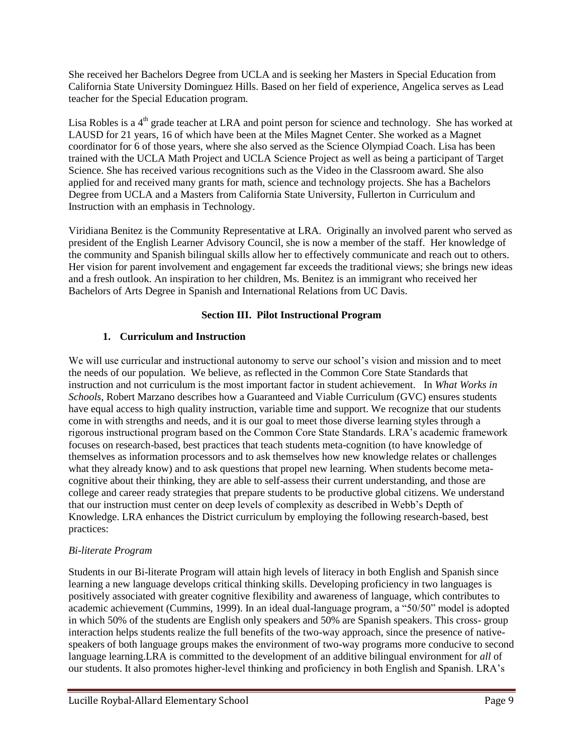She received her Bachelors Degree from UCLA and is seeking her Masters in Special Education from California State University Dominguez Hills. Based on her field of experience, Angelica serves as Lead teacher for the Special Education program.

Lisa Robles is a  $4<sup>th</sup>$  grade teacher at LRA and point person for science and technology. She has worked at LAUSD for 21 years, 16 of which have been at the Miles Magnet Center. She worked as a Magnet coordinator for 6 of those years, where she also served as the Science Olympiad Coach. Lisa has been trained with the UCLA Math Project and UCLA Science Project as well as being a participant of Target Science. She has received various recognitions such as the Video in the Classroom award. She also applied for and received many grants for math, science and technology projects. She has a Bachelors Degree from UCLA and a Masters from California State University, Fullerton in Curriculum and Instruction with an emphasis in Technology.

Viridiana Benitez is the Community Representative at LRA. Originally an involved parent who served as president of the English Learner Advisory Council, she is now a member of the staff. Her knowledge of the community and Spanish bilingual skills allow her to effectively communicate and reach out to others. Her vision for parent involvement and engagement far exceeds the traditional views; she brings new ideas and a fresh outlook. An inspiration to her children, Ms. Benitez is an immigrant who received her Bachelors of Arts Degree in Spanish and International Relations from UC Davis.

# **Section III. Pilot Instructional Program**

# **1. Curriculum and Instruction**

We will use curricular and instructional autonomy to serve our school's vision and mission and to meet the needs of our population. We believe, as reflected in the Common Core State Standards that instruction and not curriculum is the most important factor in student achievement. In *What Works in Schools*, Robert Marzano describes how a Guaranteed and Viable Curriculum (GVC) ensures students have equal access to high quality instruction, variable time and support. We recognize that our students come in with strengths and needs, and it is our goal to meet those diverse learning styles through a rigorous instructional program based on the Common Core State Standards. LRA's academic framework focuses on research-based, best practices that teach students meta-cognition (to have knowledge of themselves as information processors and to ask themselves how new knowledge relates or challenges what they already know) and to ask questions that propel new learning. When students become metacognitive about their thinking, they are able to self-assess their current understanding, and those are college and career ready strategies that prepare students to be productive global citizens. We understand that our instruction must center on deep levels of complexity as described in Webb's Depth of Knowledge. LRA enhances the District curriculum by employing the following research-based, best practices:

# *Bi-literate Program*

Students in our Bi-literate Program will attain high levels of literacy in both English and Spanish since learning a new language develops critical thinking skills. Developing proficiency in two languages is positively associated with greater cognitive flexibility and awareness of language, which contributes to academic achievement (Cummins, 1999). In an ideal dual-language program, a "50/50" model is adopted in which 50% of the students are English only speakers and 50% are Spanish speakers. This cross- group interaction helps students realize the full benefits of the two-way approach, since the presence of nativespeakers of both language groups makes the environment of two-way programs more conducive to second language learning.LRA is committed to the development of an additive bilingual environment for *all* of our students. It also promotes higher-level thinking and proficiency in both English and Spanish. LRA's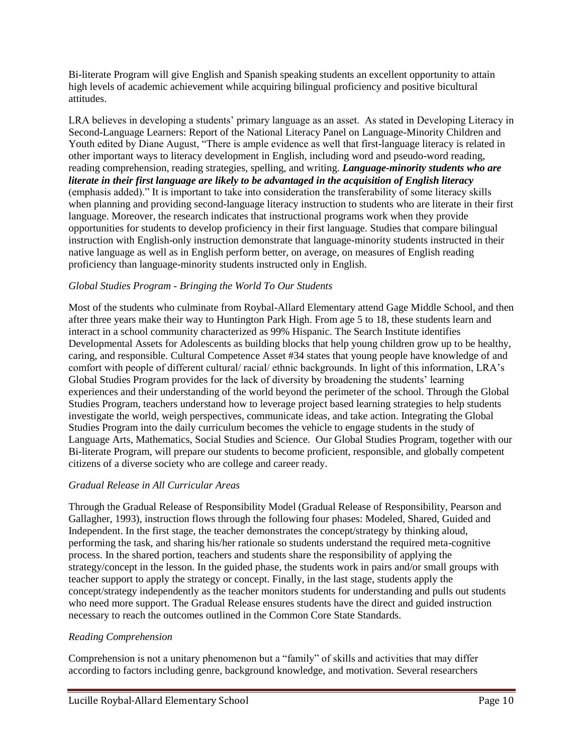Bi-literate Program will give English and Spanish speaking students an excellent opportunity to attain high levels of academic achievement while acquiring bilingual proficiency and positive bicultural attitudes.

LRA believes in developing a students' primary language as an asset. As stated in Developing Literacy in Second-Language Learners: Report of the National Literacy Panel on Language-Minority Children and Youth edited by Diane August, "There is ample evidence as well that first-language literacy is related in other important ways to literacy development in English, including word and pseudo-word reading, reading comprehension, reading strategies, spelling, and writing. *Language-minority students who are literate in their first language are likely to be advantaged in the acquisition of English literacy*  (emphasis added)." It is important to take into consideration the transferability of some literacy skills when planning and providing second-language literacy instruction to students who are literate in their first language. Moreover, the research indicates that instructional programs work when they provide opportunities for students to develop proficiency in their first language. Studies that compare bilingual instruction with English-only instruction demonstrate that language-minority students instructed in their native language as well as in English perform better, on average, on measures of English reading proficiency than language-minority students instructed only in English.

# *Global Studies Program - Bringing the World To Our Students*

Most of the students who culminate from Roybal-Allard Elementary attend Gage Middle School, and then after three years make their way to Huntington Park High. From age 5 to 18, these students learn and interact in a school community characterized as 99% Hispanic. The Search Institute identifies Developmental Assets for Adolescents as building blocks that help young children grow up to be healthy, caring, and responsible. Cultural Competence Asset #34 states that young people have knowledge of and comfort with people of different cultural/ racial/ ethnic backgrounds. In light of this information, LRA's Global Studies Program provides for the lack of diversity by broadening the students' learning experiences and their understanding of the world beyond the perimeter of the school. Through the Global Studies Program, teachers understand how to leverage project based learning strategies to help students investigate the world, weigh perspectives, communicate ideas, and take action. Integrating the Global Studies Program into the daily curriculum becomes the vehicle to engage students in the study of Language Arts, Mathematics, Social Studies and Science. Our Global Studies Program, together with our Bi-literate Program, will prepare our students to become proficient, responsible, and globally competent citizens of a diverse society who are college and career ready.

#### *Gradual Release in All Curricular Areas*

Through the Gradual Release of Responsibility Model (Gradual Release of Responsibility, Pearson and Gallagher, 1993), instruction flows through the following four phases: Modeled, Shared, Guided and Independent. In the first stage, the teacher demonstrates the concept/strategy by thinking aloud, performing the task, and sharing his/her rationale so students understand the required meta-cognitive process. In the shared portion, teachers and students share the responsibility of applying the strategy/concept in the lesson. In the guided phase, the students work in pairs and/or small groups with teacher support to apply the strategy or concept. Finally, in the last stage, students apply the concept/strategy independently as the teacher monitors students for understanding and pulls out students who need more support. The Gradual Release ensures students have the direct and guided instruction necessary to reach the outcomes outlined in the Common Core State Standards.

#### *Reading Comprehension*

Comprehension is not a unitary phenomenon but a "family" of skills and activities that may differ according to factors including genre, background knowledge, and motivation. Several researchers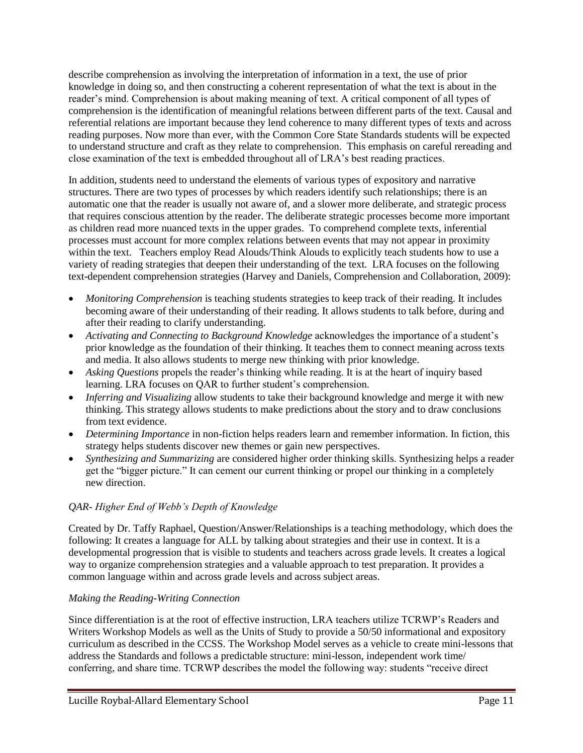describe comprehension as involving the interpretation of information in a text, the use of prior knowledge in doing so, and then constructing a coherent representation of what the text is about in the reader's mind. Comprehension is about making meaning of text. A critical component of all types of comprehension is the identification of meaningful relations between different parts of the text. Causal and referential relations are important because they lend coherence to many different types of texts and across reading purposes. Now more than ever, with the Common Core State Standards students will be expected to understand structure and craft as they relate to comprehension. This emphasis on careful rereading and close examination of the text is embedded throughout all of LRA's best reading practices.

In addition, students need to understand the elements of various types of expository and narrative structures. There are two types of processes by which readers identify such relationships; there is an automatic one that the reader is usually not aware of, and a slower more deliberate, and strategic process that requires conscious attention by the reader. The deliberate strategic processes become more important as children read more nuanced texts in the upper grades. To comprehend complete texts, inferential processes must account for more complex relations between events that may not appear in proximity within the text. Teachers employ Read Alouds/Think Alouds to explicitly teach students how to use a variety of reading strategies that deepen their understanding of the text. LRA focuses on the following text-dependent comprehension strategies (Harvey and Daniels, Comprehension and Collaboration, 2009):

- *Monitoring Comprehension* is teaching students strategies to keep track of their reading. It includes becoming aware of their understanding of their reading. It allows students to talk before, during and after their reading to clarify understanding.
- *Activating and Connecting to Background Knowledge* acknowledges the importance of a student's prior knowledge as the foundation of their thinking. It teaches them to connect meaning across texts and media. It also allows students to merge new thinking with prior knowledge.
- *Asking Questions* propels the reader's thinking while reading. It is at the heart of inquiry based learning. LRA focuses on QAR to further student's comprehension.
- *Inferring and Visualizing* allow students to take their background knowledge and merge it with new thinking. This strategy allows students to make predictions about the story and to draw conclusions from text evidence.
- *Determining Importance* in non-fiction helps readers learn and remember information. In fiction, this strategy helps students discover new themes or gain new perspectives.
- *Synthesizing and Summarizing* are considered higher order thinking skills. Synthesizing helps a reader get the "bigger picture." It can cement our current thinking or propel our thinking in a completely new direction.

# *QAR- Higher End of Webb's Depth of Knowledge*

Created by Dr. Taffy Raphael, Question/Answer/Relationships is a teaching methodology, which does the following: It creates a language for ALL by talking about strategies and their use in context. It is a developmental progression that is visible to students and teachers across grade levels. It creates a logical way to organize comprehension strategies and a valuable approach to test preparation. It provides a common language within and across grade levels and across subject areas.

# *Making the Reading-Writing Connection*

Since differentiation is at the root of effective instruction, LRA teachers utilize TCRWP's Readers and Writers Workshop Models as well as the Units of Study to provide a 50/50 informational and expository curriculum as described in the CCSS. The Workshop Model serves as a vehicle to create mini-lessons that address the Standards and follows a predictable structure: mini-lesson, independent work time/ conferring, and share time. TCRWP describes the model the following way: students "receive direct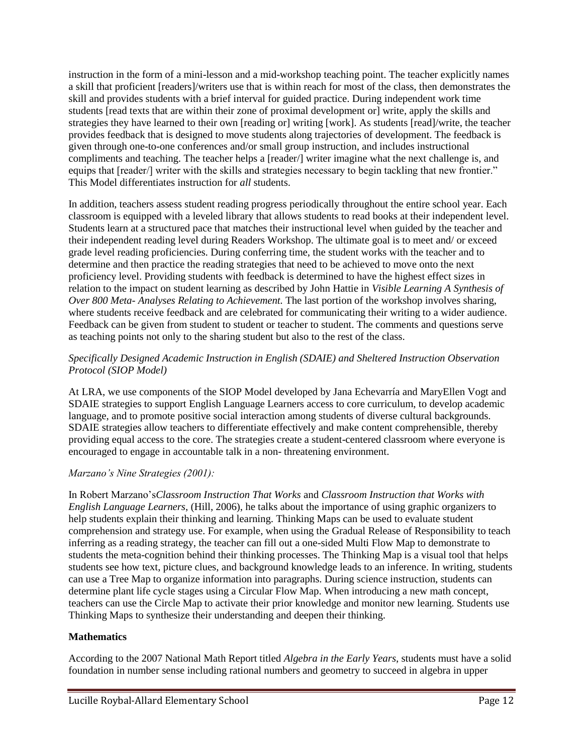instruction in the form of a mini-lesson and a mid-workshop teaching point. The teacher explicitly names a skill that proficient [readers]/writers use that is within reach for most of the class, then demonstrates the skill and provides students with a brief interval for guided practice. During independent work time students [read texts that are within their zone of proximal development or] write, apply the skills and strategies they have learned to their own [reading or] writing [work]. As students [read]/write, the teacher provides feedback that is designed to move students along trajectories of development. The feedback is given through one-to-one conferences and/or small group instruction, and includes instructional compliments and teaching. The teacher helps a [reader/] writer imagine what the next challenge is, and equips that [reader/] writer with the skills and strategies necessary to begin tackling that new frontier." This Model differentiates instruction for *all* students.

In addition, teachers assess student reading progress periodically throughout the entire school year. Each classroom is equipped with a leveled library that allows students to read books at their independent level. Students learn at a structured pace that matches their instructional level when guided by the teacher and their independent reading level during Readers Workshop. The ultimate goal is to meet and/ or exceed grade level reading proficiencies. During conferring time, the student works with the teacher and to determine and then practice the reading strategies that need to be achieved to move onto the next proficiency level. Providing students with feedback is determined to have the highest effect sizes in relation to the impact on student learning as described by John Hattie in *Visible Learning A Synthesis of Over 800 Meta- Analyses Relating to Achievement.* The last portion of the workshop involves sharing, where students receive feedback and are celebrated for communicating their writing to a wider audience. Feedback can be given from student to student or teacher to student. The comments and questions serve as teaching points not only to the sharing student but also to the rest of the class.

# *Specifically Designed Academic Instruction in English (SDAIE) and Sheltered Instruction Observation Protocol (SIOP Model)*

At LRA, we use components of the SIOP Model developed by Jana Echevarría and MaryEllen Vogt and SDAIE strategies to support English Language Learners access to core curriculum, to develop academic language, and to promote positive social interaction among students of diverse cultural backgrounds. SDAIE strategies allow teachers to differentiate effectively and make content comprehensible, thereby providing equal access to the core. The strategies create a student-centered classroom where everyone is encouraged to engage in accountable talk in a non- threatening environment.

# *Marzano's Nine Strategies (2001):*

In Robert Marzano's*Classroom Instruction That Works* and *Classroom Instruction that Works with English Language Learners*, (Hill, 2006), he talks about the importance of using graphic organizers to help students explain their thinking and learning. Thinking Maps can be used to evaluate student comprehension and strategy use. For example, when using the Gradual Release of Responsibility to teach inferring as a reading strategy, the teacher can fill out a one-sided Multi Flow Map to demonstrate to students the meta-cognition behind their thinking processes. The Thinking Map is a visual tool that helps students see how text, picture clues, and background knowledge leads to an inference. In writing, students can use a Tree Map to organize information into paragraphs. During science instruction, students can determine plant life cycle stages using a Circular Flow Map. When introducing a new math concept, teachers can use the Circle Map to activate their prior knowledge and monitor new learning. Students use Thinking Maps to synthesize their understanding and deepen their thinking.

# **Mathematics**

According to the 2007 National Math Report titled *Algebra in the Early Years*, students must have a solid foundation in number sense including rational numbers and geometry to succeed in algebra in upper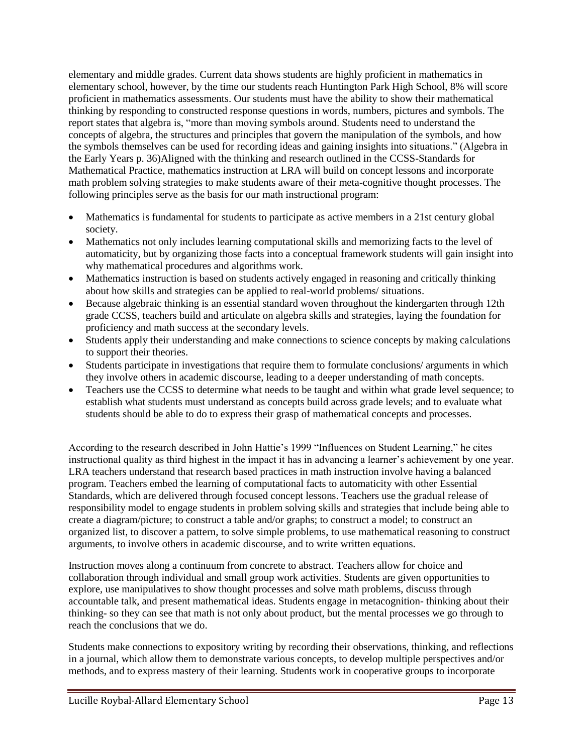elementary and middle grades. Current data shows students are highly proficient in mathematics in elementary school, however, by the time our students reach Huntington Park High School, 8% will score proficient in mathematics assessments. Our students must have the ability to show their mathematical thinking by responding to constructed response questions in words, numbers, pictures and symbols. The report states that algebra is, "more than moving symbols around. Students need to understand the concepts of algebra, the structures and principles that govern the manipulation of the symbols, and how the symbols themselves can be used for recording ideas and gaining insights into situations." (Algebra in the Early Years p. 36)Aligned with the thinking and research outlined in the CCSS-Standards for Mathematical Practice, mathematics instruction at LRA will build on concept lessons and incorporate math problem solving strategies to make students aware of their meta-cognitive thought processes. The following principles serve as the basis for our math instructional program:

- Mathematics is fundamental for students to participate as active members in a 21st century global society.
- Mathematics not only includes learning computational skills and memorizing facts to the level of automaticity, but by organizing those facts into a conceptual framework students will gain insight into why mathematical procedures and algorithms work.
- Mathematics instruction is based on students actively engaged in reasoning and critically thinking about how skills and strategies can be applied to real-world problems/ situations.
- Because algebraic thinking is an essential standard woven throughout the kindergarten through 12th grade CCSS, teachers build and articulate on algebra skills and strategies, laying the foundation for proficiency and math success at the secondary levels.
- Students apply their understanding and make connections to science concepts by making calculations to support their theories.
- Students participate in investigations that require them to formulate conclusions/ arguments in which they involve others in academic discourse, leading to a deeper understanding of math concepts.
- Teachers use the CCSS to determine what needs to be taught and within what grade level sequence; to establish what students must understand as concepts build across grade levels; and to evaluate what students should be able to do to express their grasp of mathematical concepts and processes.

According to the research described in John Hattie's 1999 "Influences on Student Learning," he cites instructional quality as third highest in the impact it has in advancing a learner's achievement by one year. LRA teachers understand that research based practices in math instruction involve having a balanced program. Teachers embed the learning of computational facts to automaticity with other Essential Standards, which are delivered through focused concept lessons. Teachers use the gradual release of responsibility model to engage students in problem solving skills and strategies that include being able to create a diagram/picture; to construct a table and/or graphs; to construct a model; to construct an organized list, to discover a pattern, to solve simple problems, to use mathematical reasoning to construct arguments, to involve others in academic discourse, and to write written equations.

Instruction moves along a continuum from concrete to abstract. Teachers allow for choice and collaboration through individual and small group work activities. Students are given opportunities to explore, use manipulatives to show thought processes and solve math problems, discuss through accountable talk, and present mathematical ideas. Students engage in metacognition- thinking about their thinking- so they can see that math is not only about product, but the mental processes we go through to reach the conclusions that we do.

Students make connections to expository writing by recording their observations, thinking, and reflections in a journal, which allow them to demonstrate various concepts, to develop multiple perspectives and/or methods, and to express mastery of their learning. Students work in cooperative groups to incorporate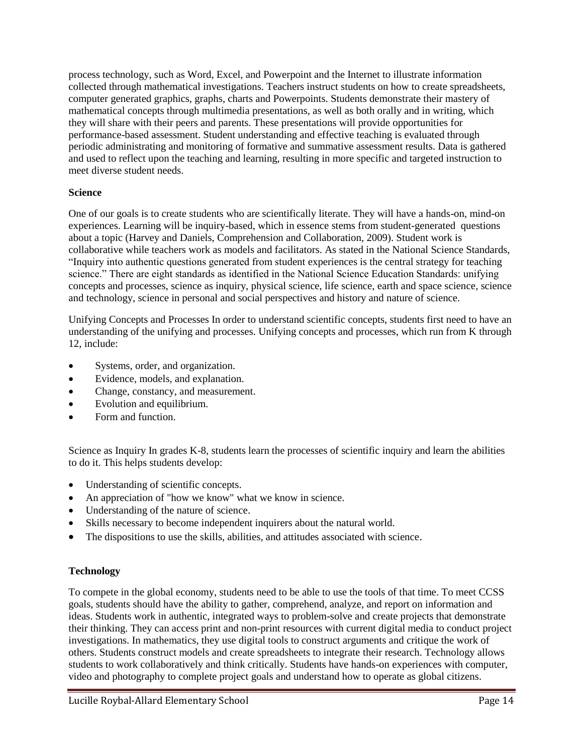process technology, such as Word, Excel, and Powerpoint and the Internet to illustrate information collected through mathematical investigations. Teachers instruct students on how to create spreadsheets, computer generated graphics, graphs, charts and Powerpoints. Students demonstrate their mastery of mathematical concepts through multimedia presentations, as well as both orally and in writing, which they will share with their peers and parents. These presentations will provide opportunities for performance-based assessment. Student understanding and effective teaching is evaluated through periodic administrating and monitoring of formative and summative assessment results. Data is gathered and used to reflect upon the teaching and learning, resulting in more specific and targeted instruction to meet diverse student needs.

#### **Science**

One of our goals is to create students who are scientifically literate. They will have a hands-on, mind-on experiences. Learning will be inquiry-based, which in essence stems from student-generated questions about a topic (Harvey and Daniels, Comprehension and Collaboration, 2009). Student work is collaborative while teachers work as models and facilitators. As stated in the National Science Standards, "Inquiry into authentic questions generated from student experiences is the central strategy for teaching science." There are eight standards as identified in the National Science Education Standards: unifying concepts and processes, science as inquiry, physical science, life science, earth and space science, science and technology, science in personal and social perspectives and history and nature of science.

Unifying Concepts and Processes In order to understand scientific concepts, students first need to have an understanding of the unifying and processes. Unifying concepts and processes, which run from K through 12, include:

- Systems, order, and organization.
- Evidence, models, and explanation.
- Change, constancy, and measurement.
- Evolution and equilibrium.
- Form and function.

Science as Inquiry In grades K-8, students learn the processes of scientific inquiry and learn the abilities to do it. This helps students develop:

- Understanding of scientific concepts.
- An appreciation of "how we know" what we know in science.
- Understanding of the nature of science.
- Skills necessary to become independent inquirers about the natural world.
- The dispositions to use the skills, abilities, and attitudes associated with science.

#### **Technology**

To compete in the global economy, students need to be able to use the tools of that time. To meet CCSS goals, students should have the ability to gather, comprehend, analyze, and report on information and ideas. Students work in authentic, integrated ways to problem-solve and create projects that demonstrate their thinking. They can access print and non-print resources with current digital media to conduct project investigations. In mathematics, they use digital tools to construct arguments and critique the work of others. Students construct models and create spreadsheets to integrate their research. Technology allows students to work collaboratively and think critically. Students have hands-on experiences with computer, video and photography to complete project goals and understand how to operate as global citizens.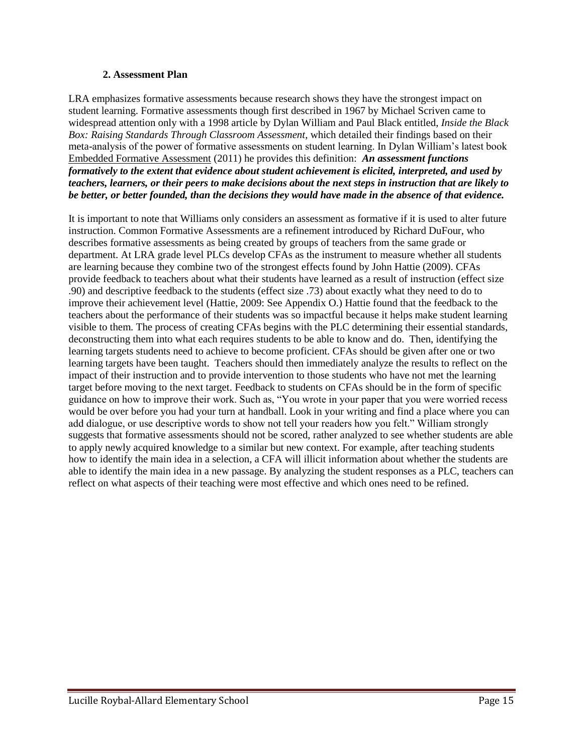#### **2. Assessment Plan**

LRA emphasizes formative assessments because research shows they have the strongest impact on student learning. Formative assessments though first described in 1967 by Michael Scriven came to widespread attention only with a 1998 article by Dylan William and Paul Black entitled, *Inside the Black Box: Raising Standards Through Classroom Assessment*, which detailed their findings based on their meta-analysis of the power of formative assessments on student learning. In Dylan William's latest book Embedded Formative Assessment (2011) he provides this definition: *An assessment functions formatively to the extent that evidence about student achievement is elicited, interpreted, and used by teachers, learners, or their peers to make decisions about the next steps in instruction that are likely to be better, or better founded, than the decisions they would have made in the absence of that evidence.*

It is important to note that Williams only considers an assessment as formative if it is used to alter future instruction. Common Formative Assessments are a refinement introduced by Richard DuFour, who describes formative assessments as being created by groups of teachers from the same grade or department. At LRA grade level PLCs develop CFAs as the instrument to measure whether all students are learning because they combine two of the strongest effects found by John Hattie (2009). CFAs provide feedback to teachers about what their students have learned as a result of instruction (effect size .90) and descriptive feedback to the students (effect size .73) about exactly what they need to do to improve their achievement level (Hattie, 2009: See Appendix O.) Hattie found that the feedback to the teachers about the performance of their students was so impactful because it helps make student learning visible to them. The process of creating CFAs begins with the PLC determining their essential standards, deconstructing them into what each requires students to be able to know and do. Then, identifying the learning targets students need to achieve to become proficient. CFAs should be given after one or two learning targets have been taught. Teachers should then immediately analyze the results to reflect on the impact of their instruction and to provide intervention to those students who have not met the learning target before moving to the next target. Feedback to students on CFAs should be in the form of specific guidance on how to improve their work. Such as, "You wrote in your paper that you were worried recess would be over before you had your turn at handball. Look in your writing and find a place where you can add dialogue, or use descriptive words to show not tell your readers how you felt." William strongly suggests that formative assessments should not be scored, rather analyzed to see whether students are able to apply newly acquired knowledge to a similar but new context. For example, after teaching students how to identify the main idea in a selection, a CFA will illicit information about whether the students are able to identify the main idea in a new passage. By analyzing the student responses as a PLC, teachers can reflect on what aspects of their teaching were most effective and which ones need to be refined.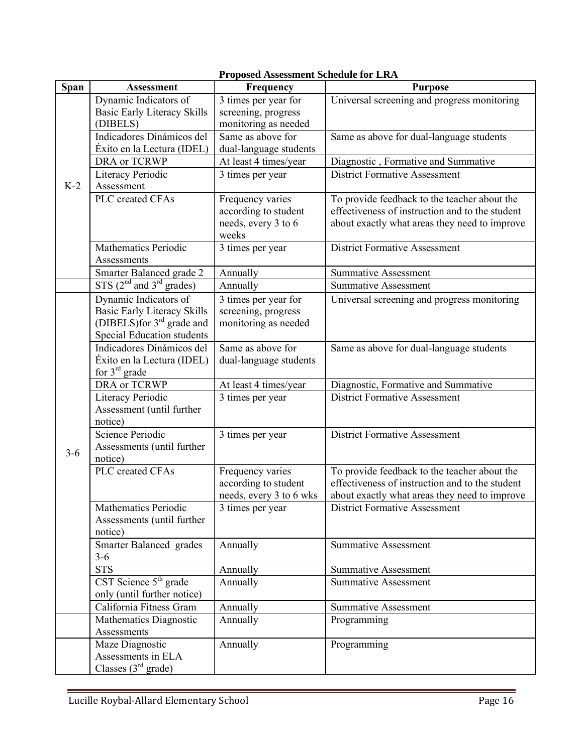|         | Proposed Assessment Schedule for LRA                                                                                                      |                                                                          |                                                                                                                                                  |  |  |  |
|---------|-------------------------------------------------------------------------------------------------------------------------------------------|--------------------------------------------------------------------------|--------------------------------------------------------------------------------------------------------------------------------------------------|--|--|--|
| Span    | <b>Assessment</b>                                                                                                                         | Frequency                                                                | <b>Purpose</b>                                                                                                                                   |  |  |  |
|         | Dynamic Indicators of<br><b>Basic Early Literacy Skills</b><br>(DIBELS)                                                                   | 3 times per year for<br>screening, progress<br>monitoring as needed      | Universal screening and progress monitoring                                                                                                      |  |  |  |
| $K-2$   | Indicadores Dinámicos del<br>Éxito en la Lectura (IDEL)                                                                                   | Same as above for<br>dual-language students                              | Same as above for dual-language students                                                                                                         |  |  |  |
|         | DRA or TCRWP                                                                                                                              | At least 4 times/year                                                    | Diagnostic, Formative and Summative                                                                                                              |  |  |  |
|         | Literacy Periodic<br>Assessment                                                                                                           | 3 times per year                                                         | <b>District Formative Assessment</b>                                                                                                             |  |  |  |
|         | PLC created CFAs                                                                                                                          | Frequency varies<br>according to student<br>needs, every 3 to 6<br>weeks | To provide feedback to the teacher about the<br>effectiveness of instruction and to the student<br>about exactly what areas they need to improve |  |  |  |
|         | <b>Mathematics Periodic</b><br>Assessments                                                                                                | 3 times per year                                                         | <b>District Formative Assessment</b>                                                                                                             |  |  |  |
|         | Smarter Balanced grade 2                                                                                                                  | Annually                                                                 | <b>Summative Assessment</b>                                                                                                                      |  |  |  |
|         | $STS$ ( $2nd$ and $3rd$ grades)                                                                                                           | Annually                                                                 | <b>Summative Assessment</b>                                                                                                                      |  |  |  |
|         | Dynamic Indicators of<br><b>Basic Early Literacy Skills</b><br>(DIBELS)for 3 <sup>rd</sup> grade and<br><b>Special Education students</b> | 3 times per year for<br>screening, progress<br>monitoring as needed      | Universal screening and progress monitoring                                                                                                      |  |  |  |
|         | Indicadores Dinámicos del<br>Éxito en la Lectura (IDEL)<br>for $3rd$ grade                                                                | Same as above for<br>dual-language students                              | Same as above for dual-language students                                                                                                         |  |  |  |
|         | DRA or TCRWP                                                                                                                              | At least 4 times/year                                                    | Diagnostic, Formative and Summative                                                                                                              |  |  |  |
| $3 - 6$ | <b>Literacy Periodic</b><br>Assessment (until further<br>notice)                                                                          | 3 times per year                                                         | <b>District Formative Assessment</b>                                                                                                             |  |  |  |
|         | Science Periodic<br>Assessments (until further<br>notice)                                                                                 | 3 times per year                                                         | <b>District Formative Assessment</b>                                                                                                             |  |  |  |
|         | PLC created CFAs                                                                                                                          | Frequency varies                                                         | To provide feedback to the teacher about the                                                                                                     |  |  |  |
|         |                                                                                                                                           | according to student                                                     | effectiveness of instruction and to the student                                                                                                  |  |  |  |
|         |                                                                                                                                           | needs, every 3 to 6 wks                                                  | about exactly what areas they need to improve                                                                                                    |  |  |  |
|         | Mathematics Periodic<br>Assessments (until further<br>notice)                                                                             | 3 times per year                                                         | <b>District Formative Assessment</b>                                                                                                             |  |  |  |
|         | Smarter Balanced grades<br>$3 - 6$                                                                                                        | Annually                                                                 | <b>Summative Assessment</b>                                                                                                                      |  |  |  |
|         | <b>STS</b>                                                                                                                                | Annually                                                                 | <b>Summative Assessment</b>                                                                                                                      |  |  |  |
|         | CST Science $5^{\text{th}}$ grade<br>only (until further notice)                                                                          | Annually                                                                 | <b>Summative Assessment</b>                                                                                                                      |  |  |  |
|         | California Fitness Gram                                                                                                                   | Annually                                                                 | <b>Summative Assessment</b>                                                                                                                      |  |  |  |
|         | Mathematics Diagnostic<br>Assessments                                                                                                     | Annually                                                                 | Programming                                                                                                                                      |  |  |  |
|         | Maze Diagnostic<br>Assessments in ELA<br>Classes $(3rd grade)$                                                                            | Annually                                                                 | Programming                                                                                                                                      |  |  |  |

# **Proposed Assessment Schedule for LRA**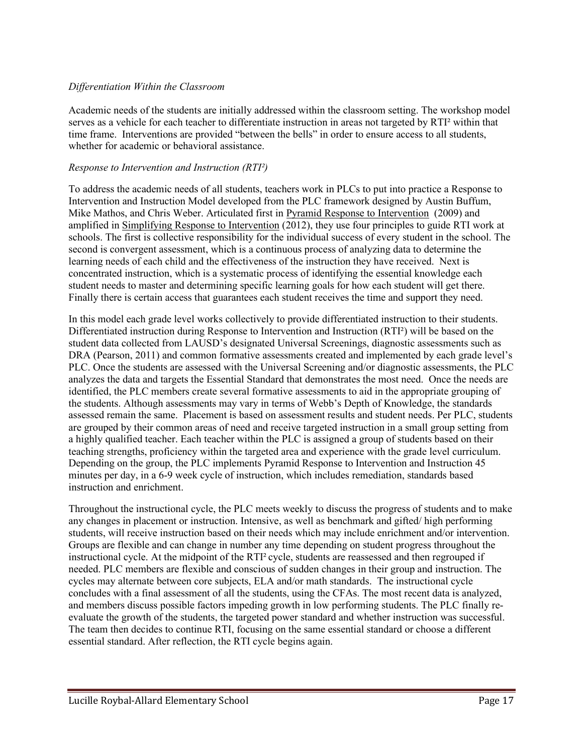# *Differentiation Within the Classroom*

Academic needs of the students are initially addressed within the classroom setting. The workshop model serves as a vehicle for each teacher to differentiate instruction in areas not targeted by RTI² within that time frame. Interventions are provided "between the bells" in order to ensure access to all students, whether for academic or behavioral assistance.

### *Response to Intervention and Instruction (RTI²)*

To address the academic needs of all students, teachers work in PLCs to put into practice a Response to Intervention and Instruction Model developed from the PLC framework designed by Austin Buffum, Mike Mathos, and Chris Weber. Articulated first in Pyramid Response to Intervention (2009) and amplified in Simplifying Response to Intervention (2012), they use four principles to guide RTI work at schools. The first is collective responsibility for the individual success of every student in the school. The second is convergent assessment, which is a continuous process of analyzing data to determine the learning needs of each child and the effectiveness of the instruction they have received. Next is concentrated instruction, which is a systematic process of identifying the essential knowledge each student needs to master and determining specific learning goals for how each student will get there. Finally there is certain access that guarantees each student receives the time and support they need.

In this model each grade level works collectively to provide differentiated instruction to their students. Differentiated instruction during Response to Intervention and Instruction (RTI²) will be based on the student data collected from LAUSD's designated Universal Screenings, diagnostic assessments such as DRA (Pearson, 2011) and common formative assessments created and implemented by each grade level's PLC. Once the students are assessed with the Universal Screening and/or diagnostic assessments, the PLC analyzes the data and targets the Essential Standard that demonstrates the most need. Once the needs are identified, the PLC members create several formative assessments to aid in the appropriate grouping of the students. Although assessments may vary in terms of Webb's Depth of Knowledge, the standards assessed remain the same. Placement is based on assessment results and student needs. Per PLC, students are grouped by their common areas of need and receive targeted instruction in a small group setting from a highly qualified teacher. Each teacher within the PLC is assigned a group of students based on their teaching strengths, proficiency within the targeted area and experience with the grade level curriculum. Depending on the group, the PLC implements Pyramid Response to Intervention and Instruction 45 minutes per day, in a 6-9 week cycle of instruction, which includes remediation, standards based instruction and enrichment.

Throughout the instructional cycle, the PLC meets weekly to discuss the progress of students and to make any changes in placement or instruction. Intensive, as well as benchmark and gifted/ high performing students, will receive instruction based on their needs which may include enrichment and/or intervention. Groups are flexible and can change in number any time depending on student progress throughout the instructional cycle. At the midpoint of the RTI<sup>2</sup> cycle, students are reassessed and then regrouped if needed. PLC members are flexible and conscious of sudden changes in their group and instruction. The cycles may alternate between core subjects, ELA and/or math standards. The instructional cycle concludes with a final assessment of all the students, using the CFAs. The most recent data is analyzed, and members discuss possible factors impeding growth in low performing students. The PLC finally reevaluate the growth of the students, the targeted power standard and whether instruction was successful. The team then decides to continue RTI, focusing on the same essential standard or choose a different essential standard. After reflection, the RTI cycle begins again.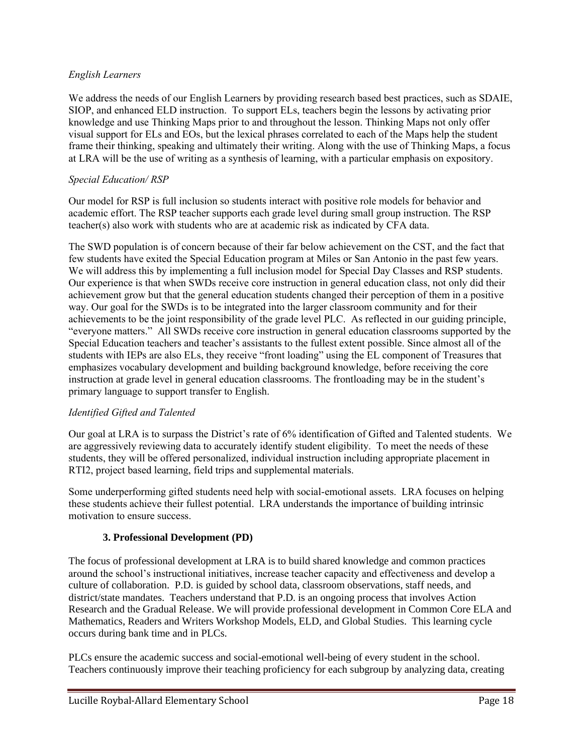# *English Learners*

We address the needs of our English Learners by providing research based best practices, such as SDAIE, SIOP, and enhanced ELD instruction. To support ELs, teachers begin the lessons by activating prior knowledge and use Thinking Maps prior to and throughout the lesson. Thinking Maps not only offer visual support for ELs and EOs, but the lexical phrases correlated to each of the Maps help the student frame their thinking, speaking and ultimately their writing. Along with the use of Thinking Maps, a focus at LRA will be the use of writing as a synthesis of learning, with a particular emphasis on expository.

# *Special Education/ RSP*

Our model for RSP is full inclusion so students interact with positive role models for behavior and academic effort. The RSP teacher supports each grade level during small group instruction. The RSP teacher(s) also work with students who are at academic risk as indicated by CFA data.

The SWD population is of concern because of their far below achievement on the CST, and the fact that few students have exited the Special Education program at Miles or San Antonio in the past few years. We will address this by implementing a full inclusion model for Special Day Classes and RSP students. Our experience is that when SWDs receive core instruction in general education class, not only did their achievement grow but that the general education students changed their perception of them in a positive way. Our goal for the SWDs is to be integrated into the larger classroom community and for their achievements to be the joint responsibility of the grade level PLC. As reflected in our guiding principle, "everyone matters." All SWDs receive core instruction in general education classrooms supported by the Special Education teachers and teacher's assistants to the fullest extent possible. Since almost all of the students with IEPs are also ELs, they receive "front loading" using the EL component of Treasures that emphasizes vocabulary development and building background knowledge, before receiving the core instruction at grade level in general education classrooms. The frontloading may be in the student's primary language to support transfer to English.

# *Identified Gifted and Talented*

Our goal at LRA is to surpass the District's rate of 6% identification of Gifted and Talented students. We are aggressively reviewing data to accurately identify student eligibility. To meet the needs of these students, they will be offered personalized, individual instruction including appropriate placement in RTI2, project based learning, field trips and supplemental materials.

Some underperforming gifted students need help with social-emotional assets. LRA focuses on helping these students achieve their fullest potential. LRA understands the importance of building intrinsic motivation to ensure success.

# **3. Professional Development (PD)**

The focus of professional development at LRA is to build shared knowledge and common practices around the school's instructional initiatives, increase teacher capacity and effectiveness and develop a culture of collaboration. P.D. is guided by school data, classroom observations, staff needs, and district/state mandates. Teachers understand that P.D. is an ongoing process that involves Action Research and the Gradual Release. We will provide professional development in Common Core ELA and Mathematics, Readers and Writers Workshop Models, ELD, and Global Studies. This learning cycle occurs during bank time and in PLCs.

PLCs ensure the academic success and social-emotional well-being of every student in the school. Teachers continuously improve their teaching proficiency for each subgroup by analyzing data, creating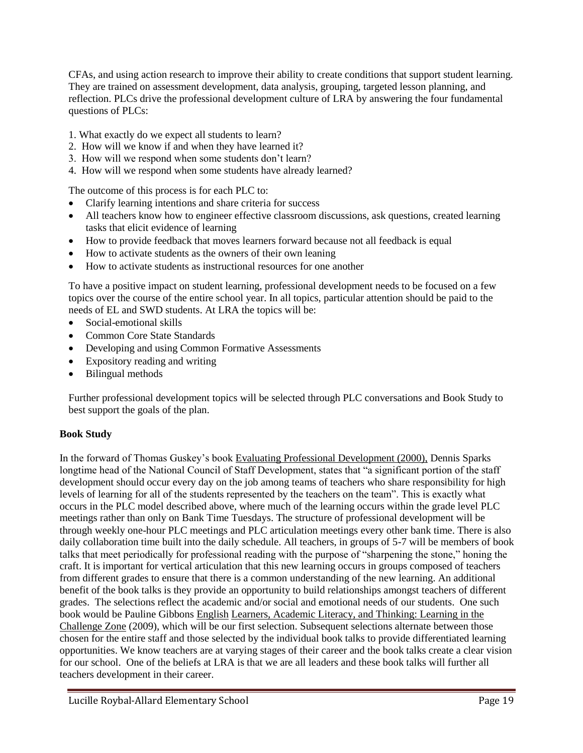CFAs, and using action research to improve their ability to create conditions that support student learning. They are trained on assessment development, data analysis, grouping, targeted lesson planning, and reflection. PLCs drive the professional development culture of LRA by answering the four fundamental questions of PLCs:

1. What exactly do we expect all students to learn?

- 2. How will we know if and when they have learned it?
- 3. How will we respond when some students don't learn?
- 4. How will we respond when some students have already learned?

The outcome of this process is for each PLC to:

- Clarify learning intentions and share criteria for success
- All teachers know how to engineer effective classroom discussions, ask questions, created learning tasks that elicit evidence of learning
- How to provide feedback that moves learners forward because not all feedback is equal
- How to activate students as the owners of their own leaning
- How to activate students as instructional resources for one another

To have a positive impact on student learning, professional development needs to be focused on a few topics over the course of the entire school year. In all topics, particular attention should be paid to the needs of EL and SWD students. At LRA the topics will be:

- Social-emotional skills
- Common Core State Standards
- Developing and using Common Formative Assessments
- Expository reading and writing
- Bilingual methods

Further professional development topics will be selected through PLC conversations and Book Study to best support the goals of the plan.

# **Book Study**

In the forward of Thomas Guskey's book Evaluating Professional Development (2000), Dennis Sparks longtime head of the National Council of Staff Development, states that "a significant portion of the staff development should occur every day on the job among teams of teachers who share responsibility for high levels of learning for all of the students represented by the teachers on the team". This is exactly what occurs in the PLC model described above, where much of the learning occurs within the grade level PLC meetings rather than only on Bank Time Tuesdays. The structure of professional development will be through weekly one-hour PLC meetings and PLC articulation meetings every other bank time. There is also daily collaboration time built into the daily schedule. All teachers, in groups of 5-7 will be members of book talks that meet periodically for professional reading with the purpose of "sharpening the stone," honing the craft. It is important for vertical articulation that this new learning occurs in groups composed of teachers from different grades to ensure that there is a common understanding of the new learning. An additional benefit of the book talks is they provide an opportunity to build relationships amongst teachers of different grades. The selections reflect the academic and/or social and emotional needs of our students. One such book would be Pauline Gibbons English Learners, Academic Literacy, and Thinking: Learning in the Challenge Zone (2009), which will be our first selection. Subsequent selections alternate between those chosen for the entire staff and those selected by the individual book talks to provide differentiated learning opportunities. We know teachers are at varying stages of their career and the book talks create a clear vision for our school. One of the beliefs at LRA is that we are all leaders and these book talks will further all teachers development in their career.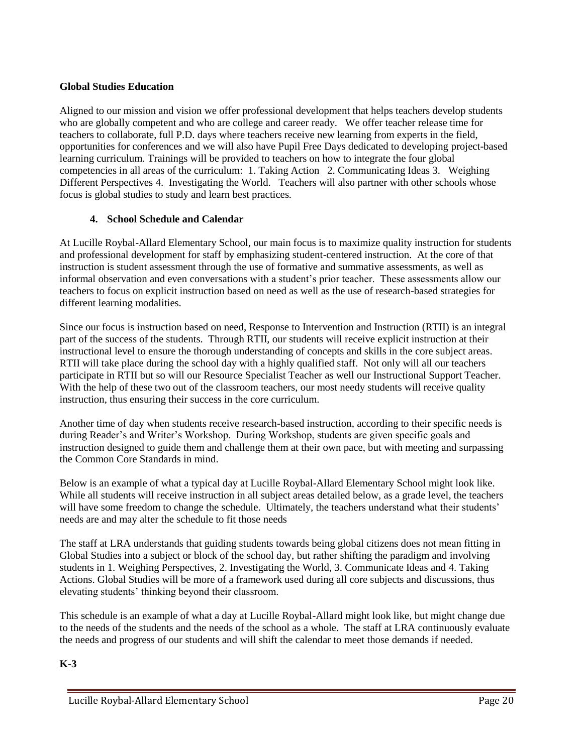# **Global Studies Education**

Aligned to our mission and vision we offer professional development that helps teachers develop students who are globally competent and who are college and career ready. We offer teacher release time for teachers to collaborate, full P.D. days where teachers receive new learning from experts in the field, opportunities for conferences and we will also have Pupil Free Days dedicated to developing project-based learning curriculum. Trainings will be provided to teachers on how to integrate the four global competencies in all areas of the curriculum: 1. Taking Action 2. Communicating Ideas 3. Weighing Different Perspectives 4. Investigating the World. Teachers will also partner with other schools whose focus is global studies to study and learn best practices.

# **4. School Schedule and Calendar**

At Lucille Roybal-Allard Elementary School, our main focus is to maximize quality instruction for students and professional development for staff by emphasizing student-centered instruction. At the core of that instruction is student assessment through the use of formative and summative assessments, as well as informal observation and even conversations with a student's prior teacher. These assessments allow our teachers to focus on explicit instruction based on need as well as the use of research-based strategies for different learning modalities.

Since our focus is instruction based on need, Response to Intervention and Instruction (RTII) is an integral part of the success of the students. Through RTII, our students will receive explicit instruction at their instructional level to ensure the thorough understanding of concepts and skills in the core subject areas. RTII will take place during the school day with a highly qualified staff. Not only will all our teachers participate in RTII but so will our Resource Specialist Teacher as well our Instructional Support Teacher. With the help of these two out of the classroom teachers, our most needy students will receive quality instruction, thus ensuring their success in the core curriculum.

Another time of day when students receive research-based instruction, according to their specific needs is during Reader's and Writer's Workshop. During Workshop, students are given specific goals and instruction designed to guide them and challenge them at their own pace, but with meeting and surpassing the Common Core Standards in mind.

Below is an example of what a typical day at Lucille Roybal-Allard Elementary School might look like. While all students will receive instruction in all subject areas detailed below, as a grade level, the teachers will have some freedom to change the schedule. Ultimately, the teachers understand what their students' needs are and may alter the schedule to fit those needs

The staff at LRA understands that guiding students towards being global citizens does not mean fitting in Global Studies into a subject or block of the school day, but rather shifting the paradigm and involving students in 1. Weighing Perspectives, 2. Investigating the World, 3. Communicate Ideas and 4. Taking Actions. Global Studies will be more of a framework used during all core subjects and discussions, thus elevating students' thinking beyond their classroom.

This schedule is an example of what a day at Lucille Roybal-Allard might look like, but might change due to the needs of the students and the needs of the school as a whole. The staff at LRA continuously evaluate the needs and progress of our students and will shift the calendar to meet those demands if needed.

# **K-3**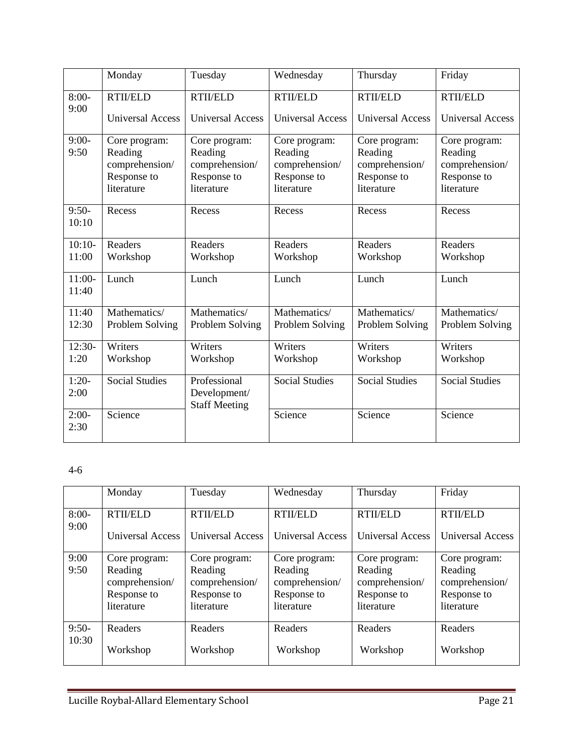|                   | Monday                                                                  | Tuesday                                                                 | Wednesday                                                               | Thursday                                                                | Friday                                                                  |
|-------------------|-------------------------------------------------------------------------|-------------------------------------------------------------------------|-------------------------------------------------------------------------|-------------------------------------------------------------------------|-------------------------------------------------------------------------|
| $8:00-$           | <b>RTIVELD</b>                                                          | <b>RTII/ELD</b>                                                         | <b>RTII/ELD</b>                                                         | <b>RTII/ELD</b>                                                         | <b>RTII/ELD</b>                                                         |
| 9:00              | <b>Universal Access</b>                                                 | <b>Universal Access</b>                                                 | <b>Universal Access</b>                                                 | <b>Universal Access</b>                                                 | <b>Universal Access</b>                                                 |
| $9:00-$<br>9:50   | Core program:<br>Reading<br>comprehension/<br>Response to<br>literature | Core program:<br>Reading<br>comprehension/<br>Response to<br>literature | Core program:<br>Reading<br>comprehension/<br>Response to<br>literature | Core program:<br>Reading<br>comprehension/<br>Response to<br>literature | Core program:<br>Reading<br>comprehension/<br>Response to<br>literature |
| $9:50-$<br>10:10  | Recess                                                                  | Recess                                                                  | Recess                                                                  | Recess                                                                  | Recess                                                                  |
| $10:10-$          | Readers                                                                 | Readers                                                                 | Readers                                                                 | Readers                                                                 | Readers                                                                 |
| 11:00             | Workshop                                                                | Workshop                                                                | Workshop                                                                | Workshop                                                                | Workshop                                                                |
| $11:00-$<br>11:40 | Lunch                                                                   | Lunch                                                                   | Lunch                                                                   | Lunch                                                                   | Lunch                                                                   |
| 11:40             | Mathematics/                                                            | Mathematics/                                                            | Mathematics/                                                            | Mathematics/                                                            | Mathematics/                                                            |
| 12:30             | Problem Solving                                                         | Problem Solving                                                         | Problem Solving                                                         | Problem Solving                                                         | Problem Solving                                                         |
| $12:30-$          | Writers                                                                 | Writers                                                                 | Writers                                                                 | Writers                                                                 | Writers                                                                 |
| 1:20              | Workshop                                                                | Workshop                                                                | Workshop                                                                | Workshop                                                                | Workshop                                                                |
| $1:20-$<br>2:00   | <b>Social Studies</b>                                                   | Professional<br>Development/<br><b>Staff Meeting</b>                    | <b>Social Studies</b>                                                   | <b>Social Studies</b>                                                   | <b>Social Studies</b>                                                   |
| $2:00-$<br>2:30   | Science                                                                 |                                                                         | Science                                                                 | Science                                                                 | Science                                                                 |

# 4-6

|                  | Monday                    | Tuesday                   | Wednesday                 | Thursday                  | Friday                    |
|------------------|---------------------------|---------------------------|---------------------------|---------------------------|---------------------------|
| $8:00-$<br>9:00  | <b>RTIVELD</b>            | <b>RTII/ELD</b>           | <b>RTIVELD</b>            | <b>RTIVELD</b>            | <b>RTIVELD</b>            |
|                  | Universal Access          | <b>Universal Access</b>   | <b>Universal Access</b>   | <b>Universal Access</b>   | <b>Universal Access</b>   |
| 9:00             | Core program:             | Core program:             | Core program:             | Core program:             | Core program:             |
| 9:50             | Reading<br>comprehension/ | Reading<br>comprehension/ | Reading<br>comprehension/ | Reading<br>comprehension/ | Reading<br>comprehension/ |
|                  | Response to               | Response to               | Response to               | Response to               | Response to               |
|                  | literature                | literature                | literature                | literature                | literature                |
| $9:50-$<br>10:30 | Readers                   | Readers                   | Readers                   | Readers                   | Readers                   |
|                  | Workshop                  | Workshop                  | Workshop                  | Workshop                  | Workshop                  |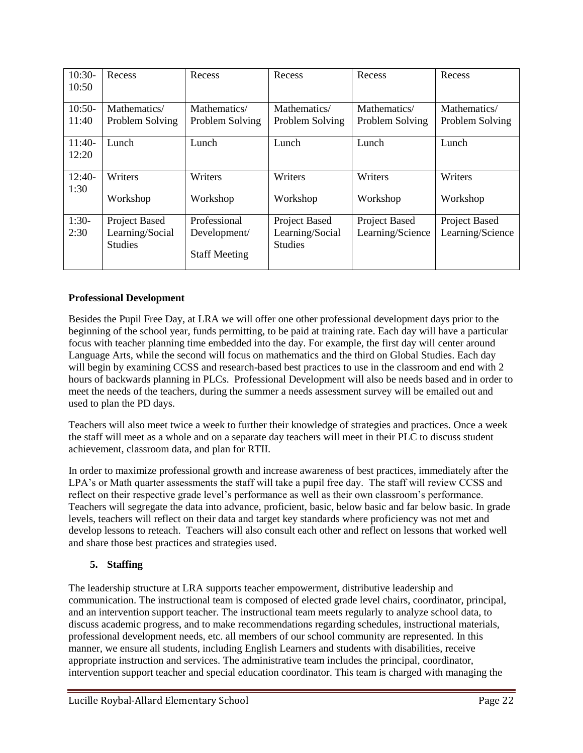| $10:30-$ | Recess          | Recess               | Recess          | Recess           | Recess           |
|----------|-----------------|----------------------|-----------------|------------------|------------------|
| 10:50    |                 |                      |                 |                  |                  |
|          |                 |                      |                 |                  |                  |
| $10:50-$ | Mathematics/    | Mathematics/         | Mathematics/    | Mathematics/     | Mathematics/     |
| 11:40    | Problem Solving | Problem Solving      | Problem Solving | Problem Solving  | Problem Solving  |
|          |                 |                      |                 |                  |                  |
| $11:40-$ | Lunch           | Lunch                | Lunch           | Lunch            | Lunch            |
| 12:20    |                 |                      |                 |                  |                  |
|          |                 |                      |                 |                  |                  |
| $12:40-$ | Writers         | Writers              | Writers         | Writers          | Writers          |
| 1:30     |                 |                      |                 |                  |                  |
|          | Workshop        | Workshop             | Workshop        | Workshop         | Workshop         |
|          |                 |                      |                 |                  |                  |
| $1:30-$  | Project Based   | Professional         | Project Based   | Project Based    | Project Based    |
| 2:30     | Learning/Social | Development/         | Learning/Social | Learning/Science | Learning/Science |
|          | <b>Studies</b>  |                      | <b>Studies</b>  |                  |                  |
|          |                 | <b>Staff Meeting</b> |                 |                  |                  |
|          |                 |                      |                 |                  |                  |

# **Professional Development**

Besides the Pupil Free Day, at LRA we will offer one other professional development days prior to the beginning of the school year, funds permitting, to be paid at training rate. Each day will have a particular focus with teacher planning time embedded into the day. For example, the first day will center around Language Arts, while the second will focus on mathematics and the third on Global Studies. Each day will begin by examining CCSS and research-based best practices to use in the classroom and end with 2 hours of backwards planning in PLCs. Professional Development will also be needs based and in order to meet the needs of the teachers, during the summer a needs assessment survey will be emailed out and used to plan the PD days.

Teachers will also meet twice a week to further their knowledge of strategies and practices. Once a week the staff will meet as a whole and on a separate day teachers will meet in their PLC to discuss student achievement, classroom data, and plan for RTII.

In order to maximize professional growth and increase awareness of best practices, immediately after the LPA's or Math quarter assessments the staff will take a pupil free day. The staff will review CCSS and reflect on their respective grade level's performance as well as their own classroom's performance. Teachers will segregate the data into advance, proficient, basic, below basic and far below basic. In grade levels, teachers will reflect on their data and target key standards where proficiency was not met and develop lessons to reteach. Teachers will also consult each other and reflect on lessons that worked well and share those best practices and strategies used.

# **5. Staffing**

The leadership structure at LRA supports teacher empowerment, distributive leadership and communication. The instructional team is composed of elected grade level chairs, coordinator, principal, and an intervention support teacher. The instructional team meets regularly to analyze school data, to discuss academic progress, and to make recommendations regarding schedules, instructional materials, professional development needs, etc. all members of our school community are represented. In this manner, we ensure all students, including English Learners and students with disabilities, receive appropriate instruction and services. The administrative team includes the principal, coordinator, intervention support teacher and special education coordinator. This team is charged with managing the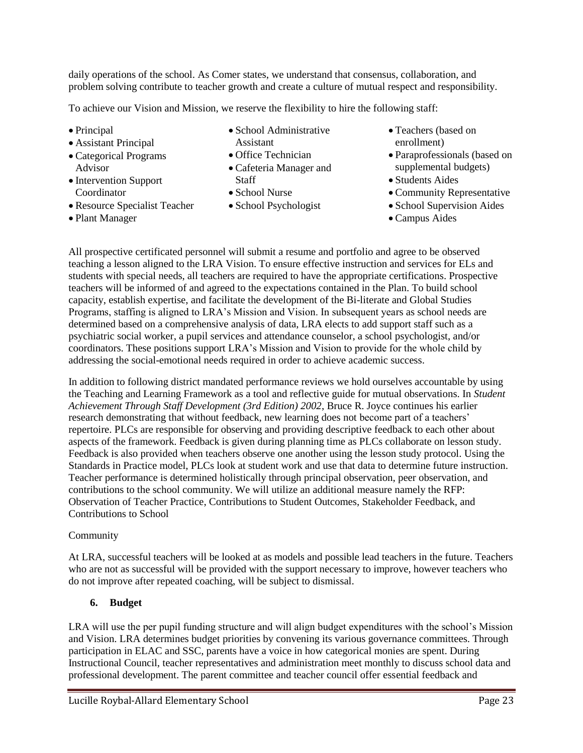daily operations of the school. As Comer states, we understand that consensus, collaboration, and problem solving contribute to teacher growth and create a culture of mutual respect and responsibility.

To achieve our Vision and Mission, we reserve the flexibility to hire the following staff:

- Principal
- Assistant Principal
- Categorical Programs Advisor
- Intervention Support Coordinator
- Resource Specialist Teacher
- Plant Manager
- School Administrative Assistant
- Office Technician
- Cafeteria Manager and **Staff**
- School Nurse
- School Psychologist
- Teachers (based on enrollment)
- Paraprofessionals (based on supplemental budgets)
- Students Aides
- Community Representative
- School Supervision Aides
- Campus Aides

All prospective certificated personnel will submit a resume and portfolio and agree to be observed teaching a lesson aligned to the LRA Vision. To ensure effective instruction and services for ELs and students with special needs, all teachers are required to have the appropriate certifications. Prospective teachers will be informed of and agreed to the expectations contained in the Plan. To build school capacity, establish expertise, and facilitate the development of the Bi-literate and Global Studies Programs, staffing is aligned to LRA's Mission and Vision. In subsequent years as school needs are determined based on a comprehensive analysis of data, LRA elects to add support staff such as a psychiatric social worker, a pupil services and attendance counselor, a school psychologist, and/or coordinators. These positions support LRA's Mission and Vision to provide for the whole child by addressing the social-emotional needs required in order to achieve academic success.

In addition to following district mandated performance reviews we hold ourselves accountable by using the Teaching and Learning Framework as a tool and reflective guide for mutual observations. In *Student Achievement Through Staff Development (3rd Edition) 2002*, Bruce R. Joyce continues his earlier research demonstrating that without feedback, new learning does not become part of a teachers' repertoire. PLCs are responsible for observing and providing descriptive feedback to each other about aspects of the framework. Feedback is given during planning time as PLCs collaborate on lesson study. Feedback is also provided when teachers observe one another using the lesson study protocol. Using the Standards in Practice model, PLCs look at student work and use that data to determine future instruction. Teacher performance is determined holistically through principal observation, peer observation, and contributions to the school community. We will utilize an additional measure namely the RFP: Observation of Teacher Practice, Contributions to Student Outcomes, Stakeholder Feedback, and Contributions to School

# Community

At LRA, successful teachers will be looked at as models and possible lead teachers in the future. Teachers who are not as successful will be provided with the support necessary to improve, however teachers who do not improve after repeated coaching, will be subject to dismissal.

# **6. Budget**

LRA will use the per pupil funding structure and will align budget expenditures with the school's Mission and Vision. LRA determines budget priorities by convening its various governance committees. Through participation in ELAC and SSC, parents have a voice in how categorical monies are spent. During Instructional Council, teacher representatives and administration meet monthly to discuss school data and professional development. The parent committee and teacher council offer essential feedback and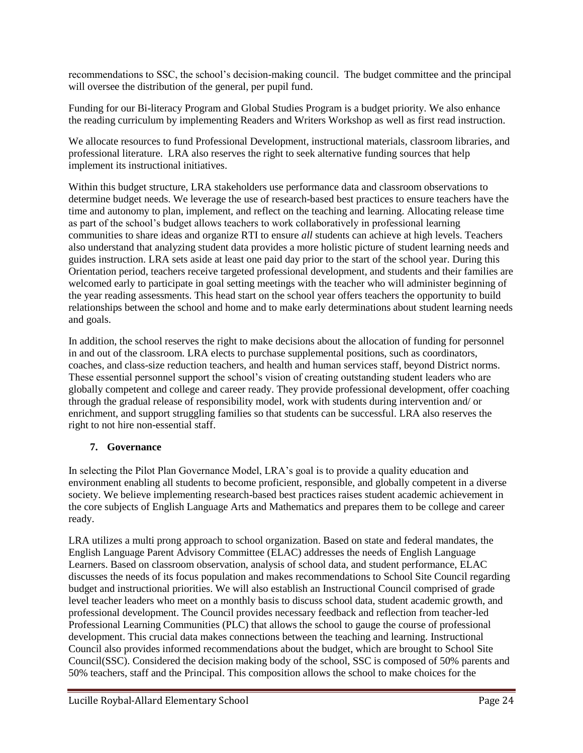recommendations to SSC, the school's decision-making council. The budget committee and the principal will oversee the distribution of the general, per pupil fund.

Funding for our Bi-literacy Program and Global Studies Program is a budget priority. We also enhance the reading curriculum by implementing Readers and Writers Workshop as well as first read instruction.

We allocate resources to fund Professional Development, instructional materials, classroom libraries, and professional literature. LRA also reserves the right to seek alternative funding sources that help implement its instructional initiatives.

Within this budget structure, LRA stakeholders use performance data and classroom observations to determine budget needs. We leverage the use of research-based best practices to ensure teachers have the time and autonomy to plan, implement, and reflect on the teaching and learning. Allocating release time as part of the school's budget allows teachers to work collaboratively in professional learning communities to share ideas and organize RTI to ensure *all* students can achieve at high levels. Teachers also understand that analyzing student data provides a more holistic picture of student learning needs and guides instruction. LRA sets aside at least one paid day prior to the start of the school year. During this Orientation period, teachers receive targeted professional development, and students and their families are welcomed early to participate in goal setting meetings with the teacher who will administer beginning of the year reading assessments. This head start on the school year offers teachers the opportunity to build relationships between the school and home and to make early determinations about student learning needs and goals.

In addition, the school reserves the right to make decisions about the allocation of funding for personnel in and out of the classroom. LRA elects to purchase supplemental positions, such as coordinators, coaches, and class-size reduction teachers, and health and human services staff, beyond District norms. These essential personnel support the school's vision of creating outstanding student leaders who are globally competent and college and career ready. They provide professional development, offer coaching through the gradual release of responsibility model, work with students during intervention and/ or enrichment, and support struggling families so that students can be successful. LRA also reserves the right to not hire non-essential staff.

# **7. Governance**

In selecting the Pilot Plan Governance Model, LRA's goal is to provide a quality education and environment enabling all students to become proficient, responsible, and globally competent in a diverse society. We believe implementing research-based best practices raises student academic achievement in the core subjects of English Language Arts and Mathematics and prepares them to be college and career ready.

LRA utilizes a multi prong approach to school organization. Based on state and federal mandates, the English Language Parent Advisory Committee (ELAC) addresses the needs of English Language Learners. Based on classroom observation, analysis of school data, and student performance, ELAC discusses the needs of its focus population and makes recommendations to School Site Council regarding budget and instructional priorities. We will also establish an Instructional Council comprised of grade level teacher leaders who meet on a monthly basis to discuss school data, student academic growth, and professional development. The Council provides necessary feedback and reflection from teacher-led Professional Learning Communities (PLC) that allows the school to gauge the course of professional development. This crucial data makes connections between the teaching and learning. Instructional Council also provides informed recommendations about the budget, which are brought to School Site Council(SSC). Considered the decision making body of the school, SSC is composed of 50% parents and 50% teachers, staff and the Principal. This composition allows the school to make choices for the